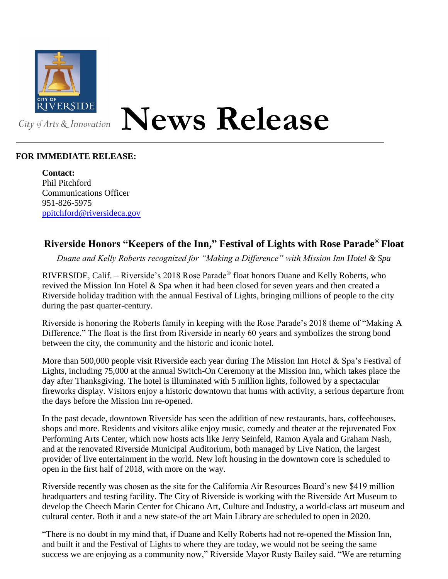

## **News Release**

## **FOR IMMEDIATE RELEASE:**

**Contact:** Phil Pitchford Communications Officer 951-826-5975 [ppitchford@riversideca.gov](mailto:ppitchford@riversideca.gov)

## **Riverside Honors "Keepers of the Inn," Festival of Lights with Rose Parade® Float**

*Duane and Kelly Roberts recognized for "Making a Difference" with Mission Inn Hotel & Spa*

RIVERSIDE, Calif. – Riverside's 2018 Rose Parade® float honors Duane and Kelly Roberts, who revived the Mission Inn Hotel & Spa when it had been closed for seven years and then created a Riverside holiday tradition with the annual Festival of Lights, bringing millions of people to the city during the past quarter-century.

Riverside is honoring the Roberts family in keeping with the Rose Parade's 2018 theme of "Making A Difference." The float is the first from Riverside in nearly 60 years and symbolizes the strong bond between the city, the community and the historic and iconic hotel.

More than 500,000 people visit Riverside each year during The Mission Inn Hotel  $\&$  Spa's Festival of Lights, including 75,000 at the annual Switch-On Ceremony at the Mission Inn, which takes place the day after Thanksgiving. The hotel is illuminated with 5 million lights, followed by a spectacular fireworks display. Visitors enjoy a historic downtown that hums with activity, a serious departure from the days before the Mission Inn re-opened.

In the past decade, downtown Riverside has seen the addition of new restaurants, bars, coffeehouses, shops and more. Residents and visitors alike enjoy music, comedy and theater at the rejuvenated Fox Performing Arts Center, which now hosts acts like Jerry Seinfeld, Ramon Ayala and Graham Nash, and at the renovated Riverside Municipal Auditorium, both managed by Live Nation, the largest provider of live entertainment in the world. New loft housing in the downtown core is scheduled to open in the first half of 2018, with more on the way.

Riverside recently was chosen as the site for the California Air Resources Board's new \$419 million headquarters and testing facility. The City of Riverside is working with the Riverside Art Museum to develop the Cheech Marin Center for Chicano Art, Culture and Industry, a world-class art museum and cultural center. Both it and a new state-of the art Main Library are scheduled to open in 2020.

"There is no doubt in my mind that, if Duane and Kelly Roberts had not re-opened the Mission Inn, and built it and the Festival of Lights to where they are today, we would not be seeing the same success we are enjoying as a community now," Riverside Mayor Rusty Bailey said. "We are returning